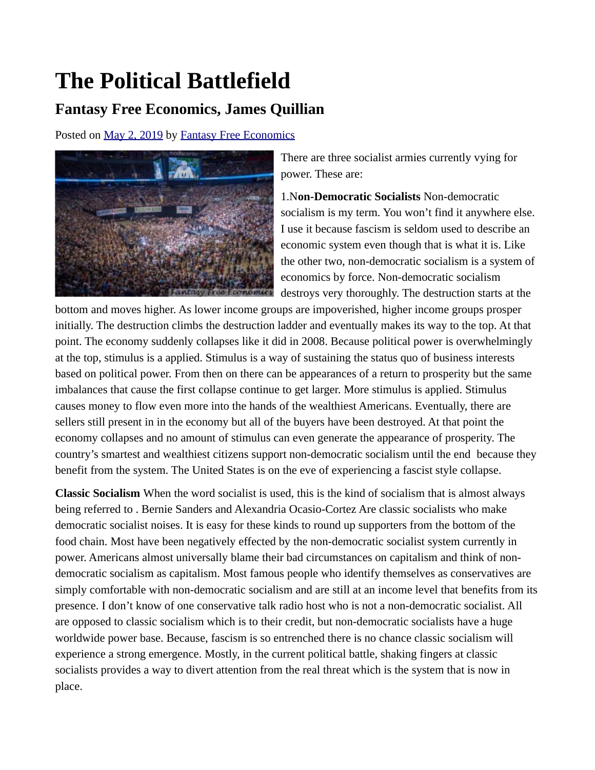## **The Political Battlefield**

## **Fantasy Free Economics, James Quillian**

Posted on [May 2, 2019](http://quillian.net/blog/?p=6275) by [Fantasy Free Economics](http://quillian.net/blog/author/james-quillian/)



There are three socialist armies currently vying for power. These are:

1.N**on-Democratic Socialists** Non-democratic socialism is my term. You won't find it anywhere else. I use it because fascism is seldom used to describe an economic system even though that is what it is. Like the other two, non-democratic socialism is a system of economics by force. Non-democratic socialism destroys very thoroughly. The destruction starts at the

bottom and moves higher. As lower income groups are impoverished, higher income groups prosper initially. The destruction climbs the destruction ladder and eventually makes its way to the top. At that point. The economy suddenly collapses like it did in 2008. Because political power is overwhelmingly at the top, stimulus is a applied. Stimulus is a way of sustaining the status quo of business interests based on political power. From then on there can be appearances of a return to prosperity but the same imbalances that cause the first collapse continue to get larger. More stimulus is applied. Stimulus causes money to flow even more into the hands of the wealthiest Americans. Eventually, there are sellers still present in in the economy but all of the buyers have been destroyed. At that point the economy collapses and no amount of stimulus can even generate the appearance of prosperity. The country's smartest and wealthiest citizens support non-democratic socialism until the end because they benefit from the system. The United States is on the eve of experiencing a fascist style collapse.

**Classic Socialism** When the word socialist is used, this is the kind of socialism that is almost always being referred to . Bernie Sanders and Alexandria Ocasio-Cortez Are classic socialists who make democratic socialist noises. It is easy for these kinds to round up supporters from the bottom of the food chain. Most have been negatively effected by the non-democratic socialist system currently in power. Americans almost universally blame their bad circumstances on capitalism and think of nondemocratic socialism as capitalism. Most famous people who identify themselves as conservatives are simply comfortable with non-democratic socialism and are still at an income level that benefits from its presence. I don't know of one conservative talk radio host who is not a non-democratic socialist. All are opposed to classic socialism which is to their credit, but non-democratic socialists have a huge worldwide power base. Because, fascism is so entrenched there is no chance classic socialism will experience a strong emergence. Mostly, in the current political battle, shaking fingers at classic socialists provides a way to divert attention from the real threat which is the system that is now in place.